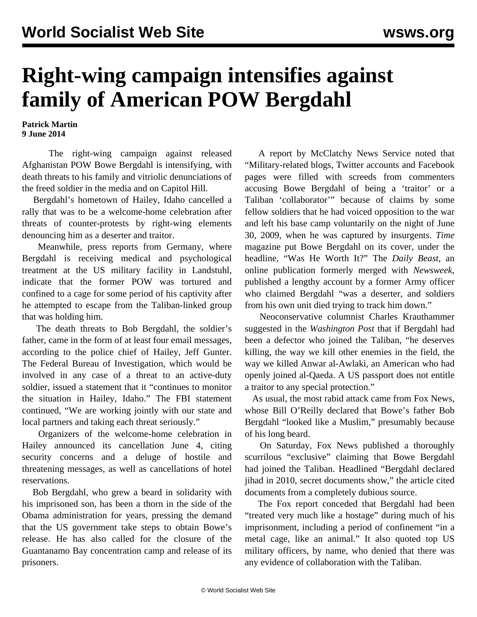## **Right-wing campaign intensifies against family of American POW Bergdahl**

**Patrick Martin 9 June 2014**

 The right-wing campaign against released Afghanistan POW Bowe Bergdahl is intensifying, with death threats to his family and vitriolic denunciations of the freed soldier in the media and on Capitol Hill.

 Bergdahl's hometown of Hailey, Idaho cancelled a rally that was to be a welcome-home celebration after threats of counter-protests by right-wing elements denouncing him as a deserter and traitor.

 Meanwhile, press reports from Germany, where Bergdahl is receiving medical and psychological treatment at the US military facility in Landstuhl, indicate that the former POW was tortured and confined to a cage for some period of his captivity after he attempted to escape from the Taliban-linked group that was holding him.

 The death threats to Bob Bergdahl, the soldier's father, came in the form of at least four email messages, according to the police chief of Hailey, Jeff Gunter. The Federal Bureau of Investigation, which would be involved in any case of a threat to an active-duty soldier, issued a statement that it "continues to monitor the situation in Hailey, Idaho." The FBI statement continued, "We are working jointly with our state and local partners and taking each threat seriously."

 Organizers of the welcome-home celebration in Hailey announced its cancellation June 4, citing security concerns and a deluge of hostile and threatening messages, as well as cancellations of hotel reservations.

 Bob Bergdahl, who grew a beard in solidarity with his imprisoned son, has been a thorn in the side of the Obama administration for years, pressing the demand that the US government take steps to obtain Bowe's release. He has also called for the closure of the Guantanamo Bay concentration camp and release of its prisoners.

 A report by McClatchy News Service noted that "Military-related blogs, Twitter accounts and Facebook pages were filled with screeds from commenters accusing Bowe Bergdahl of being a 'traitor' or a Taliban 'collaborator'" because of claims by some fellow soldiers that he had voiced opposition to the war and left his base camp voluntarily on the night of June 30, 2009, when he was captured by insurgents. *Time* magazine put Bowe Bergdahl on its cover, under the headline, "Was He Worth It?" The *Daily Beast*, an online publication formerly merged with *Newsweek*, published a lengthy account by a former Army officer who claimed Bergdahl "was a deserter, and soldiers from his own unit died trying to track him down."

 Neoconservative columnist Charles Krauthammer suggested in the *Washington Post* that if Bergdahl had been a defector who joined the Taliban, "he deserves killing, the way we kill other enemies in the field, the way we killed Anwar al-Awlaki, an American who had openly joined al-Qaeda. A US passport does not entitle a traitor to any special protection."

 As usual, the most rabid attack came from Fox News, whose Bill O'Reilly declared that Bowe's father Bob Bergdahl "looked like a Muslim," presumably because of his long beard.

 On Saturday, Fox News published a thoroughly scurrilous "exclusive" claiming that Bowe Bergdahl had joined the Taliban. Headlined "Bergdahl declared jihad in 2010, secret documents show," the article cited documents from a completely dubious source.

 The Fox report conceded that Bergdahl had been "treated very much like a hostage" during much of his imprisonment, including a period of confinement "in a metal cage, like an animal." It also quoted top US military officers, by name, who denied that there was any evidence of collaboration with the Taliban.